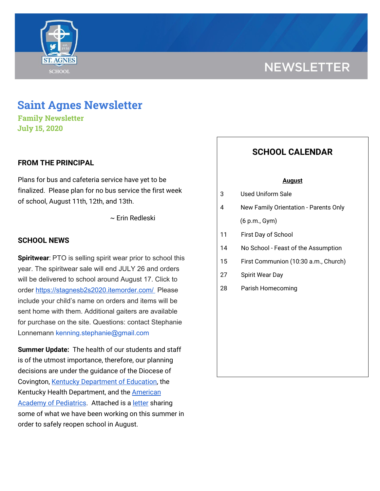

# **NEWSLETTER**

## **Saint Agnes Newsletter**

**Family Newsletter July 15, 2020**

#### **FROM THE PRINCIPAL**

Plans for bus and cafeteria service have yet to be finalized. Please plan for no bus service the first week of school, August 11th, 12th, and 13th.

~ Erin Redleski

#### **SCHOOL NEWS**

**Spiritwear**: PTO is selling spirit wear prior to school this year. The spiritwear sale will end JULY 26 and orders will be delivered to school around August 17. Click to order <https://stagnesb2s2020.itemorder.com/> Please include your child's name on orders and items will be sent home with them. Additional gaiters are available for purchase on the site. Questions: contact Stephanie Lonnemann kenning.stephanie@gmail.com

**Summer Update:** The health of our students and staff is of the utmost importance, therefore, our planning decisions are under the guidance of the Diocese of Covington, Kentucky [Department](https://education.ky.gov/comm/Documents/Safety%20Expectations_FINAL%20DOC.pdf) of Education, the Kentucky Health Department, and the [American](https://services.aap.org/en/pages/2019-novel-coronavirus-covid-19-infections/clinical-guidance/covid-19-planning-considerations-return-to-in-person-education-in-schools/) **Academy of [Pediatrics](https://services.aap.org/en/pages/2019-novel-coronavirus-covid-19-infections/clinical-guidance/covid-19-planning-considerations-return-to-in-person-education-in-schools/).** Attached is a **[letter](https://school.saintagnes.com/wp-content/uploads/2020/07/Summer-Update-July-8-2020.pdf)** sharing some of what we have been working on this summer in order to safely reopen school in August.

### **SCHOOL CALENDAR**

#### **August**

- 3 Used Uniform Sale
- 4 New Family Orientation Parents Only (6 p.m., Gym)
- 11 First Day of School
- 14 No School Feast of the Assumption
- 15 First Communion (10:30 a.m., Church)
- 27 Spirit Wear Day
- 28 Parish Homecoming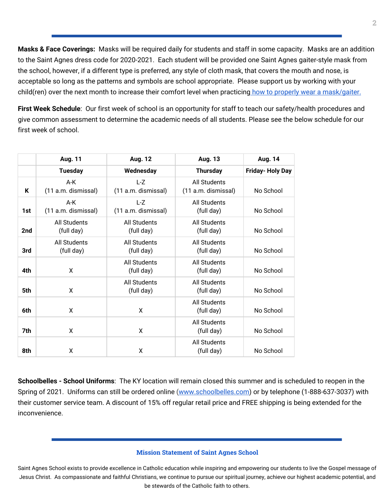**Masks & Face Coverings:** Masks will be required daily for students and staff in some capacity. Masks are an addition to the Saint Agnes dress code for 2020-2021. Each student will be provided one Saint Agnes gaiter-style mask from the school, however, if a different type is preferred, any style of cloth mask, that covers the mouth and nose, is acceptable so long as the patterns and symbols are school appropriate. Please support us by working with your child(ren) over the next month to increase their comfort level when practicing how to properly wear a [mask/gaiter.](https://school.saintagnes.com/wp-content/uploads/2020/07/wearing-a-cloth-face-covering.pdf)

**First Week Schedule**: Our first week of school is an opportunity for staff to teach our safety/health procedures and give common assessment to determine the academic needs of all students. Please see the below schedule for our first week of school.

|     | <b>Aug. 11</b>             | <b>Aug. 12</b>                    | <b>Aug. 13</b>                      | Aug. 14                |
|-----|----------------------------|-----------------------------------|-------------------------------------|------------------------|
|     | <b>Tuesday</b>             | Wednesday                         | <b>Thursday</b>                     | <b>Friday-Holy Day</b> |
| K   | A-K<br>(11 a.m. dismissal) | L-Z<br>(11 a.m. dismissal)        | All Students<br>(11 a.m. dismissal) | No School              |
| 1st | A-K<br>(11 a.m. dismissal) | L-Z<br>(11 a.m. dismissal)        | <b>All Students</b><br>(full day)   | No School              |
| 2nd | All Students<br>(full day) | <b>All Students</b><br>(full day) | <b>All Students</b><br>(full day)   | No School              |
| 3rd | All Students<br>(full day) | All Students<br>(full day)        | All Students<br>(full day)          | No School              |
| 4th | X                          | All Students<br>(full day)        | All Students<br>(full day)          | No School              |
| 5th | X                          | All Students<br>(full day)        | All Students<br>(full day)          | No School              |
| 6th | X                          | X                                 | All Students<br>(full day)          | No School              |
| 7th | X                          | X                                 | <b>All Students</b><br>(full day)   | No School              |
| 8th | X                          | X                                 | All Students<br>(full day)          | No School              |

**Schoolbelles - School Uniforms**: The KY location will remain closed this summer and is scheduled to reopen in the Spring of 2021. Uniforms can still be ordered online [\(www.schoolbelles.com\)](http://www.schoolbelles.com/) or by telephone (1-888-637-3037) with their customer service team. A discount of 15% off regular retail price and FREE shipping is being extended for the inconvenience.

#### **Mission Statement of Saint Agnes School**

Saint Agnes School exists to provide excellence in Catholic education while inspiring and empowering our students to live the Gospel message of Jesus Christ. As compassionate and faithful Christians, we continue to pursue our spiritual journey, achieve our highest academic potential, and be stewards of the Catholic faith to others.